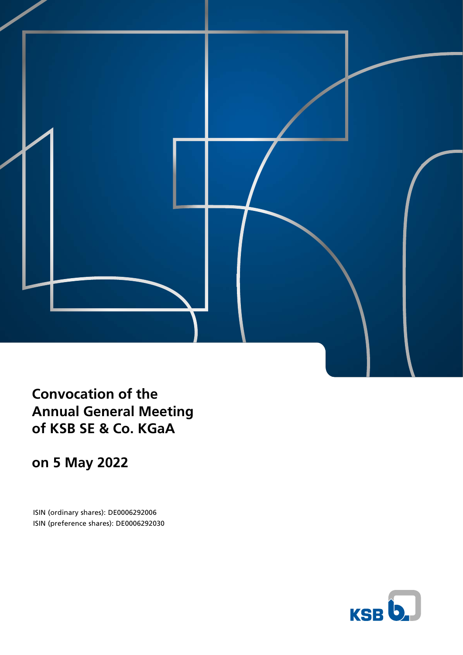

**Convocation of the Annual General Meeting of KSB SE & Co. KGaA**

**on 5 May 2022**

ISIN (ordinary shares): DE0006292006 ISIN (preference shares): DE0006292030

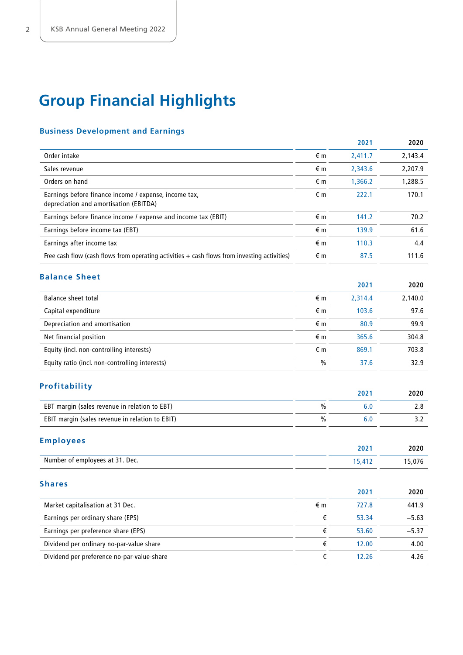# **Group Financial Highlights**

# **Business Development and Earnings**

|                                                                                                 |                  | 2021    | 2020    |
|-------------------------------------------------------------------------------------------------|------------------|---------|---------|
| Order intake                                                                                    | €m               | 2,411.7 | 2,143.4 |
| Sales revenue                                                                                   | €m               | 2,343.6 | 2,207.9 |
| Orders on hand                                                                                  | €m               | 1,366.2 | 1,288.5 |
| Earnings before finance income / expense, income tax,<br>depreciation and amortisation (EBITDA) | €m               | 222.1   | 170.1   |
| Earnings before finance income / expense and income tax (EBIT)                                  | €m               | 141.2   | 70.2    |
| Earnings before income tax (EBT)                                                                | €m               | 139.9   | 61.6    |
| Earnings after income tax                                                                       | €m               | 110.3   | 4.4     |
| Free cash flow (cash flows from operating activities $+$ cash flows from investing activities)  | €m               | 87.5    | 111.6   |
| <b>Balance Sheet</b>                                                                            |                  |         |         |
|                                                                                                 |                  | 2021    | 2020    |
| <b>Balance sheet total</b>                                                                      | €m               | 2,314.4 | 2,140.0 |
| Capital expenditure                                                                             | €m               | 103.6   | 97.6    |
| Depreciation and amortisation                                                                   | €m               | 80.9    | 99.9    |
| Net financial position                                                                          | €m               | 365.6   | 304.8   |
| Equity (incl. non-controlling interests)                                                        | €m               | 869.1   | 703.8   |
| Equity ratio (incl. non-controlling interests)                                                  | $\%$             | 37.6    | 32.9    |
| Profitability                                                                                   |                  | 2021    | 2020    |
| EBT margin (sales revenue in relation to EBT)                                                   | $\%$             | 6.0     | 2.8     |
| EBIT margin (sales revenue in relation to EBIT)                                                 | $\frac{0}{0}$    | 6.0     | 3.2     |
|                                                                                                 |                  |         |         |
| <b>Employees</b>                                                                                |                  | 2021    | 2020    |
| Number of employees at 31. Dec.                                                                 |                  | 15,412  | 15,076  |
| <b>Shares</b>                                                                                   |                  |         |         |
|                                                                                                 |                  | 2021    | 2020    |
| Market capitalisation at 31 Dec.                                                                | $\in \mathsf{m}$ | 727.8   | 441.9   |
| Earnings per ordinary share (EPS)                                                               | $\epsilon$       | 53.34   | $-5.63$ |
| Earnings per preference share (EPS)                                                             | $\epsilon$       | 53.60   | $-5.37$ |
| Dividend per ordinary no-par-value share                                                        | $\in$            | 12.00   | 4.00    |
| Dividend per preference no-par-value-share                                                      | $\epsilon$       | 12.26   | 4.26    |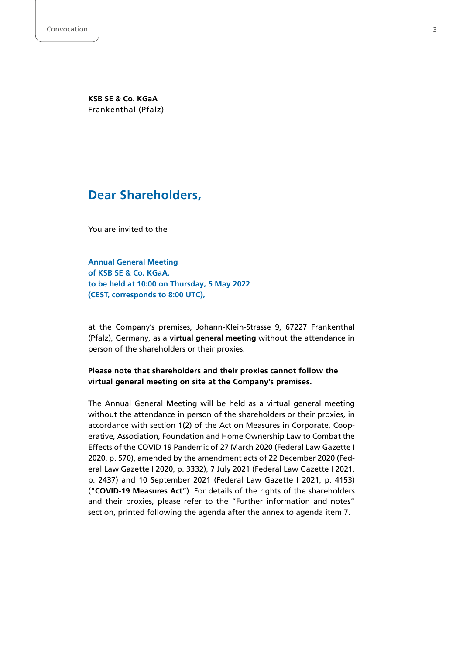**KSB SE & Co. KGaA** Frankenthal (Pfalz)

# **Dear Shareholders,**

You are invited to the

**Annual General Meeting of KSB SE & Co. KGaA, to be held at 10:00 on Thursday, 5 May 2022 (CEST, corresponds to 8:00 UTC),**

at the Company's premises, Johann-Klein-Strasse 9, 67227 Frankenthal (Pfalz), Germany, as a **virtual general meeting** without the attendance in person of the shareholders or their proxies.

# **Please note that shareholders and their proxies cannot follow the virtual general meeting on site at the Company's premises.**

The Annual General Meeting will be held as a virtual general meeting without the attendance in person of the shareholders or their proxies, in accordance with section 1(2) of the Act on Measures in Corporate, Cooperative, Association, Foundation and Home Ownership Law to Combat the Effects of the COVID 19 Pandemic of 27 March 2020 (Federal Law Gazette I 2020, p. 570), amended by the amendment acts of 22 December 2020 (Federal Law Gazette I 2020, p. 3332), 7 July 2021 (Federal Law Gazette I 2021, p. 2437) and 10 September 2021 (Federal Law Gazette I 2021, p. 4153) ("**COVID-19 Measures Act**"). For details of the rights of the shareholders and their proxies, please refer to the "Further information and notes" section, printed following the agenda after the annex to agenda item 7.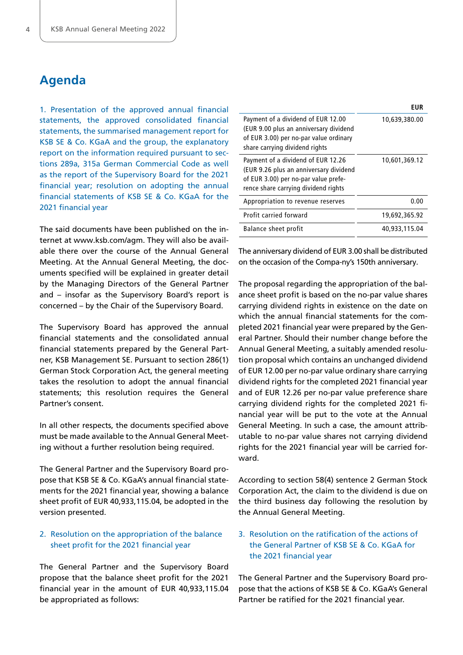# **Agenda**

1. Presentation of the approved annual financial statements, the approved consolidated financial statements, the summarised management report for KSB SE & Co. KGaA and the group, the explanatory report on the information required pursuant to sections 289a, 315a German Commercial Code as well as the report of the Supervisory Board for the 2021 financial year; resolution on adopting the annual financial statements of KSB SE & Co. KGaA for the 2021 financial year

The said documents have been published on the internet at [www.ksb.com/agm.](https://www.ksb.com/agm) They will also be available there over the course of the Annual General Meeting. At the Annual General Meeting, the documents specified will be explained in greater detail by the Managing Directors of the General Partner and – insofar as the Supervisory Board's report is concerned – by the Chair of the Supervisory Board.

The Supervisory Board has approved the annual financial statements and the consolidated annual financial statements prepared by the General Partner, KSB Management SE. Pursuant to section 286(1) German Stock Corporation Act, the general meeting takes the resolution to adopt the annual financial statements; this resolution requires the General Partner's consent.

In all other respects, the documents specified above must be made available to the Annual General Meeting without a further resolution being required.

The General Partner and the Supervisory Board propose that KSB SE & Co. KGaA's annual financial statements for the 2021 financial year, showing a balance sheet profit of EUR 40,933,115.04, be adopted in the version presented.

# 2. Resolution on the appropriation of the balance sheet profit for the 2021 financial year

The General Partner and the Supervisory Board propose that the balance sheet profit for the 2021 financial year in the amount of EUR 40,933,115.04 be appropriated as follows:

|                                                                                                                                                              | EUR           |
|--------------------------------------------------------------------------------------------------------------------------------------------------------------|---------------|
| Payment of a dividend of EUR 12.00<br>(EUR 9.00 plus an anniversary dividend<br>of EUR 3.00) per no-par value ordinary<br>share carrying dividend rights     | 10,639,380.00 |
| Payment of a dividend of EUR 12.26<br>(EUR 9.26 plus an anniversary dividend<br>of EUR 3.00) per no-par value prefe-<br>rence share carrying dividend rights | 10,601,369.12 |
| Appropriation to revenue reserves                                                                                                                            | 0.00          |
| Profit carried forward                                                                                                                                       | 19,692,365.92 |
| Balance sheet profit                                                                                                                                         | 40,933,115.04 |

The anniversary dividend of EUR 3.00 shall be distributed on the occasion of the Compa-ny's 150th anniversary.

The proposal regarding the appropriation of the balance sheet profit is based on the no-par value shares carrying dividend rights in existence on the date on which the annual financial statements for the completed 2021 financial year were prepared by the General Partner. Should their number change before the Annual General Meeting, a suitably amended resolution proposal which contains an unchanged dividend of EUR 12.00 per no-par value ordinary share carrying dividend rights for the completed 2021 financial year and of EUR 12.26 per no-par value preference share carrying dividend rights for the completed 2021 financial year will be put to the vote at the Annual General Meeting. In such a case, the amount attributable to no-par value shares not carrying dividend rights for the 2021 financial year will be carried forward.

According to section 58(4) sentence 2 German Stock Corporation Act, the claim to the dividend is due on the third business day following the resolution by the Annual General Meeting.

# 3. Resolution on the ratification of the actions of the General Partner of KSB SE & Co. KGaA for the 2021 financial year

The General Partner and the Supervisory Board propose that the actions of KSB SE & Co. KGaA's General Partner be ratified for the 2021 financial year.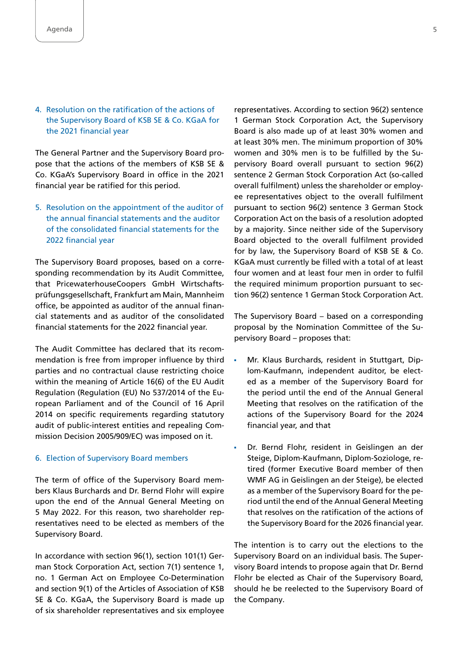# 4. Resolution on the ratification of the actions of the Supervisory Board of KSB SE & Co. KGaA for the 2021 financial year

The General Partner and the Supervisory Board propose that the actions of the members of KSB SE & Co. KGaA's Supervisory Board in office in the 2021 financial year be ratified for this period.

5. Resolution on the appointment of the auditor of the annual financial statements and the auditor of the consolidated financial statements for the 2022 financial year

The Supervisory Board proposes, based on a corresponding recommendation by its Audit Committee, that PricewaterhouseCoopers GmbH Wirtschaftsprüfungsgesellschaft, Frankfurt am Main, Mannheim office, be appointed as auditor of the annual financial statements and as auditor of the consolidated financial statements for the 2022 financial year.

The Audit Committee has declared that its recommendation is free from improper influence by third parties and no contractual clause restricting choice within the meaning of Article 16(6) of the EU Audit Regulation (Regulation (EU) No 537/2014 of the European Parliament and of the Council of 16 April 2014 on specific requirements regarding statutory audit of public-interest entities and repealing Commission Decision 2005/909/EC) was imposed on it.

#### 6. Election of Supervisory Board members

The term of office of the Supervisory Board members Klaus Burchards and Dr. Bernd Flohr will expire upon the end of the Annual General Meeting on 5 May 2022. For this reason, two shareholder representatives need to be elected as members of the Supervisory Board.

In accordance with section 96(1), section 101(1) German Stock Corporation Act, section 7(1) sentence 1, no. 1 German Act on Employee Co-Determination and section 9(1) of the Articles of Association of KSB SE & Co. KGaA, the Supervisory Board is made up of six shareholder representatives and six employee

representatives. According to section 96(2) sentence 1 German Stock Corporation Act, the Supervisory Board is also made up of at least 30% women and at least 30% men. The minimum proportion of 30% women and 30% men is to be fulfilled by the Supervisory Board overall pursuant to section 96(2) sentence 2 German Stock Corporation Act (so-called overall fulfilment) unless the shareholder or employee representatives object to the overall fulfilment pursuant to section 96(2) sentence 3 German Stock Corporation Act on the basis of a resolution adopted by a majority. Since neither side of the Supervisory Board objected to the overall fulfilment provided for by law, the Supervisory Board of KSB SE & Co. KGaA must currently be filled with a total of at least four women and at least four men in order to fulfil the required minimum proportion pursuant to section 96(2) sentence 1 German Stock Corporation Act.

The Supervisory Board – based on a corresponding proposal by the Nomination Committee of the Supervisory Board – proposes that:

- Mr. Klaus Burchards, resident in Stuttgart, Diplom-Kaufmann, independent auditor, be elected as a member of the Supervisory Board for the period until the end of the Annual General Meeting that resolves on the ratification of the actions of the Supervisory Board for the 2024 financial year, and that
- Dr. Bernd Flohr, resident in Geislingen an der Steige, Diplom-Kaufmann, Diplom-Soziologe, retired (former Executive Board member of then WMF AG in Geislingen an der Steige), be elected as a member of the Supervisory Board for the period until the end of the Annual General Meeting that resolves on the ratification of the actions of the Supervisory Board for the 2026 financial year.

The intention is to carry out the elections to the Supervisory Board on an individual basis. The Supervisory Board intends to propose again that Dr. Bernd Flohr be elected as Chair of the Supervisory Board, should he be reelected to the Supervisory Board of the Company.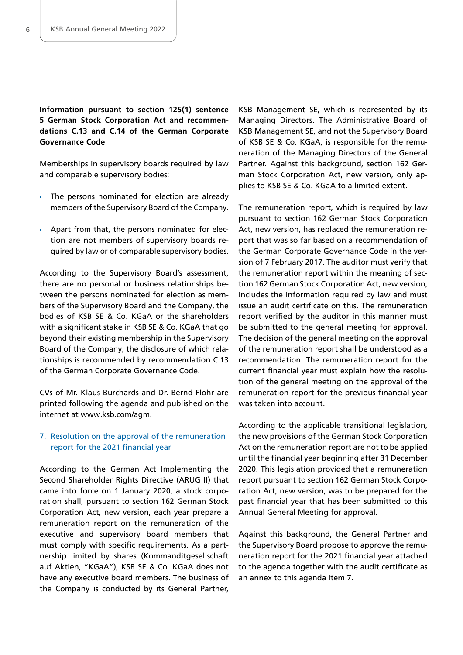**Information pursuant to section 125(1) sentence 5 German Stock Corporation Act and recommendations C.13 and C.14 of the German Corporate Governance Code**

Memberships in supervisory boards required by law and comparable supervisory bodies:

- The persons nominated for election are already members of the Supervisory Board of the Company.
- Apart from that, the persons nominated for election are not members of supervisory boards required by law or of comparable supervisory bodies.

According to the Supervisory Board's assessment, there are no personal or business relationships between the persons nominated for election as members of the Supervisory Board and the Company, the bodies of KSB SE & Co. KGaA or the shareholders with a significant stake in KSB SE & Co. KGaA that go beyond their existing membership in the Supervisory Board of the Company, the disclosure of which relationships is recommended by recommendation C.13 of the German Corporate Governance Code.

CVs of Mr. Klaus Burchards and Dr. Bernd Flohr are printed following the agenda and published on the internet at [www.ksb.com/agm.](https://www.ksb.com/agm)

# 7. Resolution on the approval of the remuneration report for the 2021 financial year

According to the German Act Implementing the Second Shareholder Rights Directive (ARUG II) that came into force on 1 January 2020, a stock corporation shall, pursuant to section 162 German Stock Corporation Act, new version, each year prepare a remuneration report on the remuneration of the executive and supervisory board members that must comply with specific requirements. As a partnership limited by shares (Kommanditgesellschaft auf Aktien, "KGaA"), KSB SE & Co. KGaA does not have any executive board members. The business of the Company is conducted by its General Partner,

KSB Management SE, which is represented by its Managing Directors. The Administrative Board of KSB Management SE, and not the Supervisory Board of KSB SE & Co. KGaA, is responsible for the remuneration of the Managing Directors of the General Partner. Against this background, section 162 German Stock Corporation Act, new version, only applies to KSB SE & Co. KGaA to a limited extent.

The remuneration report, which is required by law pursuant to section 162 German Stock Corporation Act, new version, has replaced the remuneration report that was so far based on a recommendation of the German Corporate Governance Code in the version of 7 February 2017. The auditor must verify that the remuneration report within the meaning of section 162 German Stock Corporation Act, new version, includes the information required by law and must issue an audit certificate on this. The remuneration report verified by the auditor in this manner must be submitted to the general meeting for approval. The decision of the general meeting on the approval of the remuneration report shall be understood as a recommendation. The remuneration report for the current financial year must explain how the resolution of the general meeting on the approval of the remuneration report for the previous financial year was taken into account.

According to the applicable transitional legislation, the new provisions of the German Stock Corporation Act on the remuneration report are not to be applied until the financial year beginning after 31 December 2020. This legislation provided that a remuneration report pursuant to section 162 German Stock Corporation Act, new version, was to be prepared for the past financial year that has been submitted to this Annual General Meeting for approval.

Against this background, the General Partner and the Supervisory Board propose to approve the remuneration report for the 2021 financial year attached to the agenda together with the audit certificate as an annex to this agenda item 7.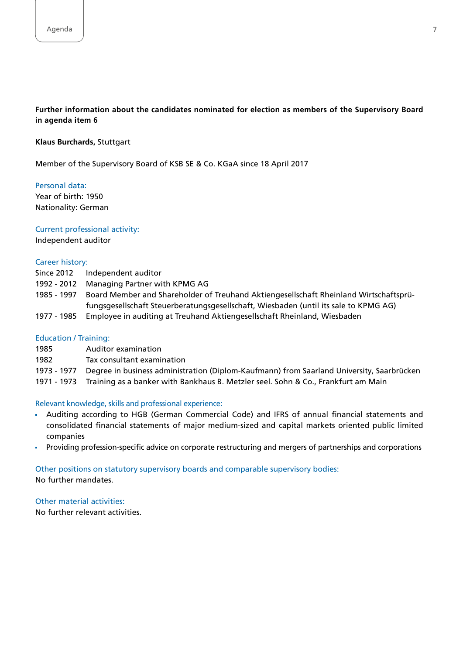# **Further information about the candidates nominated for election as members of the Supervisory Board in agenda item 6**

#### **Klaus Burchards,** Stuttgart

Member of the Supervisory Board of KSB SE & Co. KGaA since 18 April 2017

Personal data: Year of birth: 1950 Nationality: German

#### Current professional activity:

Independent auditor

## Career history:

- Since 2012 Independent auditor
- 1992 2012 Managing Partner with KPMG AG
- 1985 1997 Board Member and Shareholder of Treuhand Aktiengesellschaft Rheinland Wirtschaftsprüfungsgesellschaft Steuerberatungsgesellschaft, Wiesbaden (until its sale to KPMG AG)
- 1977 1985 Employee in auditing at Treuhand Aktiengesellschaft Rheinland, Wiesbaden

#### Education / Training:

- 1985 Auditor examination
- 1982 Tax consultant examination
- 1973 1977 Degree in business administration (Diplom-Kaufmann) from Saarland University, Saarbrücken
- 1971 1973 Training as a banker with Bankhaus B. Metzler seel. Sohn & Co., Frankfurt am Main

#### Relevant knowledge, skills and professional experience:

- Auditing according to HGB (German Commercial Code) and IFRS of annual financial statements and consolidated financial statements of major medium-sized and capital markets oriented public limited companies
- Providing profession-specific advice on corporate restructuring and mergers of partnerships and corporations  $\blacksquare$

#### Other positions on statutory supervisory boards and comparable supervisory bodies: No further mandates.

# Other material activities:

No further relevant activities.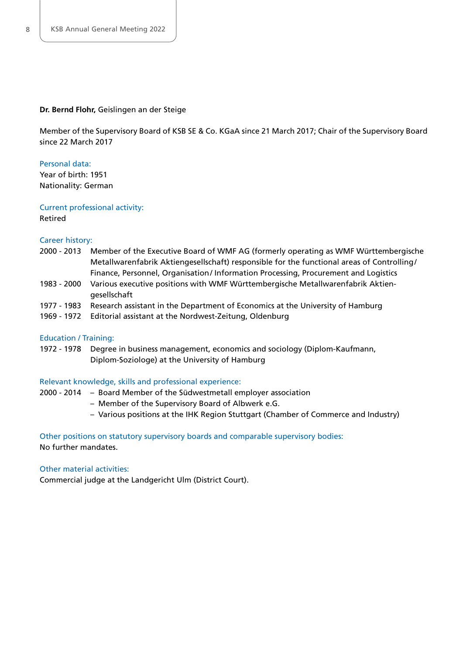#### **Dr. Bernd Flohr,** Geislingen an der Steige

Member of the Supervisory Board of KSB SE & Co. KGaA since 21 March 2017; Chair of the Supervisory Board since 22 March 2017

#### Personal data:

Year of birth: 1951 Nationality: German

#### Current professional activity:

Retired

## Career history:

- 2000 2013 Member of the Executive Board of WMF AG (formerly operating as WMF Württembergische Metallwarenfabrik Aktiengesellschaft) responsible for the functional areas of Controlling/ Finance, Personnel, Organisation/ Information Processing, Procurement and Logistics
- 1983 2000 Various executive positions with WMF Württembergische Metallwarenfabrik Aktiengesellschaft
- 1977 1983 Research assistant in the Department of Economics at the University of Hamburg
- 1969 1972 Editorial assistant at the Nordwest-Zeitung, Oldenburg

#### Education / Training:

1972 - 1978 Degree in business management, economics and sociology (Diplom-Kaufmann, Diplom-Soziologe) at the University of Hamburg

#### Relevant knowledge, skills and professional experience:

- 2000 2014 Board Member of the Südwestmetall employer association
	- Member of the Supervisory Board of Albwerk e.G.
	- Various positions at the IHK Region Stuttgart (Chamber of Commerce and Industry)

#### Other positions on statutory supervisory boards and comparable supervisory bodies: No further mandates.

#### Other material activities:

Commercial judge at the Landgericht Ulm (District Court).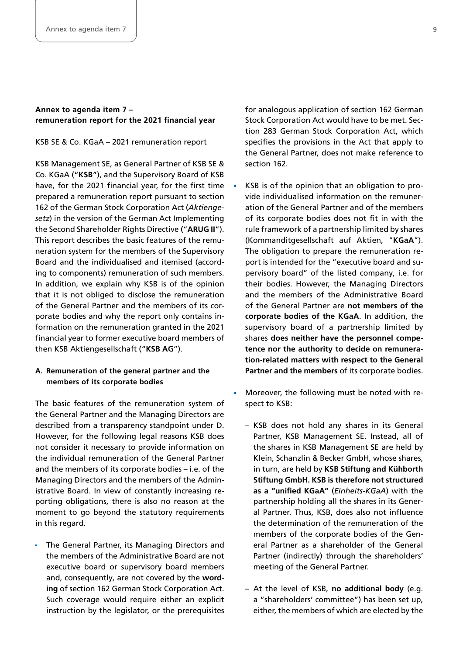# **Annex to agenda item 7 – remuneration report for the 2021 financial year**

KSB SE & Co. KGaA – 2021 remuneration report

KSB Management SE, as General Partner of KSB SE & Co. KGaA ("**KSB**"), and the Supervisory Board of KSB have, for the 2021 financial year, for the first time prepared a remuneration report pursuant to section 162 of the German Stock Corporation Act (*Aktiengesetz*) in the version of the German Act Implementing the Second Shareholder Rights Directive ("**ARUG II**"). This report describes the basic features of the remuneration system for the members of the Supervisory Board and the individualised and itemised (according to components) remuneration of such members. In addition, we explain why KSB is of the opinion that it is not obliged to disclose the remuneration of the General Partner and the members of its corporate bodies and why the report only contains information on the remuneration granted in the 2021 financial year to former executive board members of then KSB Aktiengesellschaft ("**KSB AG**").

# **A. Remuneration of the general partner and the members of its corporate bodies**

The basic features of the remuneration system of the General Partner and the Managing Directors are described from a transparency standpoint under D. However, for the following legal reasons KSB does not consider it necessary to provide information on the individual remuneration of the General Partner and the members of its corporate bodies – i.e. of the Managing Directors and the members of the Administrative Board. In view of constantly increasing reporting obligations, there is also no reason at the moment to go beyond the statutory requirements in this regard.

**The General Partner, its Managing Directors and** the members of the Administrative Board are not executive board or supervisory board members and, consequently, are not covered by the **wording** of section 162 German Stock Corporation Act. Such coverage would require either an explicit instruction by the legislator, or the prerequisites

for analogous application of section 162 German Stock Corporation Act would have to be met. Section 283 German Stock Corporation Act, which specifies the provisions in the Act that apply to the General Partner, does not make reference to section 162.

- KSB is of the opinion that an obligation to provide individualised information on the remuneration of the General Partner and of the members of its corporate bodies does not fit in with the rule framework of a partnership limited by shares (Kommanditgesellschaft auf Aktien, "**KGaA**"). The obligation to prepare the remuneration report is intended for the "executive board and supervisory board" of the listed company, i.e. for their bodies. However, the Managing Directors and the members of the Administrative Board of the General Partner are **not members of the corporate bodies of the KGaA**. In addition, the supervisory board of a partnership limited by shares **does neither have the personnel competence nor the authority to decide on remuneration-related matters with respect to the General Partner and the members** of its corporate bodies.
- Moreover, the following must be noted with respect to KSB:
	- KSB does not hold any shares in its General Partner, KSB Management SE. Instead, all of the shares in KSB Management SE are held by Klein, Schanzlin & Becker GmbH, whose shares, in turn, are held by **KSB Stiftung and Kühborth Stiftung GmbH. KSB is therefore not structured as a "unified KGaA"** (*Einheits-KGaA*) with the partnership holding all the shares in its General Partner. Thus, KSB, does also not influence the determination of the remuneration of the members of the corporate bodies of the General Partner as a shareholder of the General Partner (indirectly) through the shareholders' meeting of the General Partner.
	- At the level of KSB, **no additional body** (e.g. a "shareholders' committee") has been set up, either, the members of which are elected by the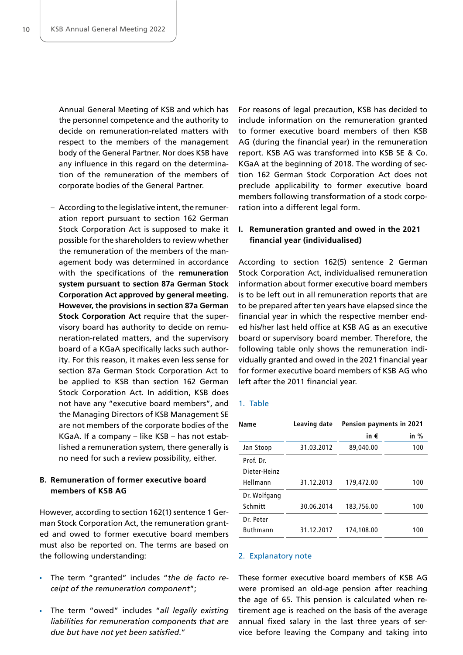Annual General Meeting of KSB and which has the personnel competence and the authority to decide on remuneration-related matters with respect to the members of the management body of the General Partner. Nor does KSB have any influence in this regard on the determination of the remuneration of the members of corporate bodies of the General Partner.

– According to the legislative intent, the remuneration report pursuant to section 162 German Stock Corporation Act is supposed to make it possible for the shareholders to review whether the remuneration of the members of the management body was determined in accordance with the specifications of the **remuneration system pursuant to section 87a German Stock Corporation Act approved by general meeting. However, the provisions in section 87a German Stock Corporation Act** require that the supervisory board has authority to decide on remuneration-related matters, and the supervisory board of a KGaA specifically lacks such authority. For this reason, it makes even less sense for section 87a German Stock Corporation Act to be applied to KSB than section 162 German Stock Corporation Act. In addition, KSB does not have any "executive board members", and the Managing Directors of KSB Management SE are not members of the corporate bodies of the KGaA. If a company – like KSB – has not established a remuneration system, there generally is no need for such a review possibility, either.

# **B. Remuneration of former executive board members of KSB AG**

However, according to section 162(1) sentence 1 German Stock Corporation Act, the remuneration granted and owed to former executive board members must also be reported on. The terms are based on the following understanding:

- The term "granted" includes "*the de facto receipt of the remuneration component*";
- The term "owed" includes "*all legally existing liabilities for remuneration components that are due but have not yet been satisfied*."

For reasons of legal precaution, KSB has decided to include information on the remuneration granted to former executive board members of then KSB AG (during the financial year) in the remuneration report. KSB AG was transformed into KSB SE & Co. KGaA at the beginning of 2018. The wording of section 162 German Stock Corporation Act does not preclude applicability to former executive board members following transformation of a stock corporation into a different legal form.

# **I. Remuneration granted and owed in the 2021 financial year (individualised)**

According to section 162(5) sentence 2 German Stock Corporation Act, individualised remuneration information about former executive board members is to be left out in all remuneration reports that are to be prepared after ten years have elapsed since the financial year in which the respective member ended his/her last held office at KSB AG as an executive board or supervisory board member. Therefore, the following table only shows the remuneration individually granted and owed in the 2021 financial year for former executive board members of KSB AG who left after the 2011 financial year.

#### 1. Table

| Name            | Leaving date | Pension payments in 2021 |        |
|-----------------|--------------|--------------------------|--------|
|                 |              | in €                     | in $%$ |
| Jan Stoop       | 31.03.2012   | 89,040,00                | 100    |
| Prof. Dr.       |              |                          |        |
| Dieter-Heinz    |              |                          |        |
| Hellmann        | 31.12.2013   | 179,472.00               | 100    |
| Dr. Wolfgang    |              |                          |        |
| Schmitt         | 30.06.2014   | 183,756.00               | 100    |
| Dr. Peter       |              |                          |        |
| <b>Buthmann</b> | 31.12.2017   | 174,108.00               | 100    |

#### 2. Explanatory note

These former executive board members of KSB AG were promised an old-age pension after reaching the age of 65. This pension is calculated when retirement age is reached on the basis of the average annual fixed salary in the last three years of service before leaving the Company and taking into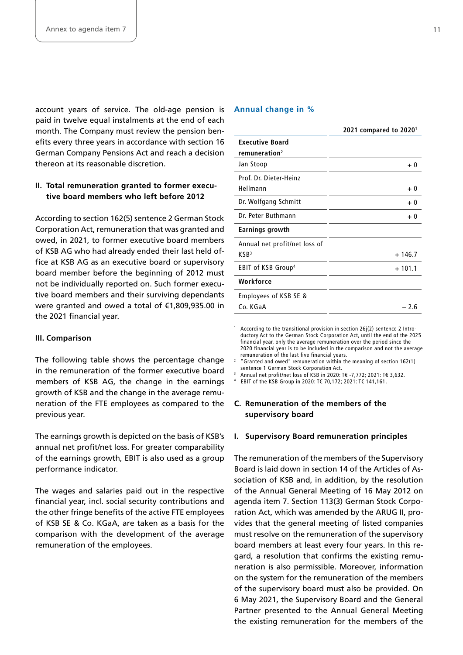account years of service. The old-age pension is paid in twelve equal instalments at the end of each month. The Company must review the pension benefits every three years in accordance with section 16 German Company Pensions Act and reach a decision thereon at its reasonable discretion.

# **II. Total remuneration granted to former executive board members who left before 2012**

According to section 162(5) sentence 2 German Stock Corporation Act, remuneration that was granted and owed, in 2021, to former executive board members of KSB AG who had already ended their last held office at KSB AG as an executive board or supervisory board member before the beginning of 2012 must not be individually reported on. Such former executive board members and their surviving dependants were granted and owed a total of €1,809,935.00 in the 2021 financial year.

#### **III. Comparison**

The following table shows the percentage change in the remuneration of the former executive board members of KSB AG, the change in the earnings growth of KSB and the change in the average remuneration of the FTE employees as compared to the previous year.

The earnings growth is depicted on the basis of KSB's annual net profit/net loss. For greater comparability of the earnings growth, EBIT is also used as a group performance indicator.

The wages and salaries paid out in the respective financial year, incl. social security contributions and the other fringe benefits of the active FTE employees of KSB SE & Co. KGaA, are taken as a basis for the comparison with the development of the average remuneration of the employees.

#### **Annual change in %**

1

3

|                                | 2021 compared to $20201$ |
|--------------------------------|--------------------------|
| <b>Executive Board</b>         |                          |
| remuneration <sup>2</sup>      |                          |
| Jan Stoop                      | $+0$                     |
| Prof. Dr. Dieter-Heinz         |                          |
| Hellmann                       | $+0$                     |
| Dr. Wolfgang Schmitt           | $+0$                     |
| Dr. Peter Buthmann             | $+0$                     |
| Earnings growth                |                          |
| Annual net profit/net loss of  |                          |
| KSB <sup>3</sup>               | $+146.7$                 |
| EBIT of KSB Group <sup>4</sup> | $+101.1$                 |
| Workforce                      |                          |
| Employees of KSB SE &          |                          |
| Co. KGaA                       | - 2.6                    |

 According to the transitional provision in section 26j(2) sentence 2 Introductory Act to the German Stock Corporation Act, until the end of the 2025 financial year, only the average remuneration over the period since the 2020 financial year is to be included in the comparison and not the average remuneration of the last five financial years.

2 "Granted and owed" remuneration within the meaning of section 162(1) sentence 1 German Stock Corporation Act.

Annual net profit/net loss of KSB in 2020: T€ -7,772; 2021: T€ 3,632.

4 EBIT of the KSB Group in 2020: T€ 70,172; 2021: T€ 141,161.

# **C. Remuneration of the members of the supervisory board**

#### **I. Supervisory Board remuneration principles**

The remuneration of the members of the Supervisory Board is laid down in section 14 of the Articles of Association of KSB and, in addition, by the resolution of the Annual General Meeting of 16 May 2012 on agenda item 7. Section 113(3) German Stock Corporation Act, which was amended by the ARUG II, provides that the general meeting of listed companies must resolve on the remuneration of the supervisory board members at least every four years. In this regard, a resolution that confirms the existing remuneration is also permissible. Moreover, information on the system for the remuneration of the members of the supervisory board must also be provided. On 6 May 2021, the Supervisory Board and the General Partner presented to the Annual General Meeting the existing remuneration for the members of the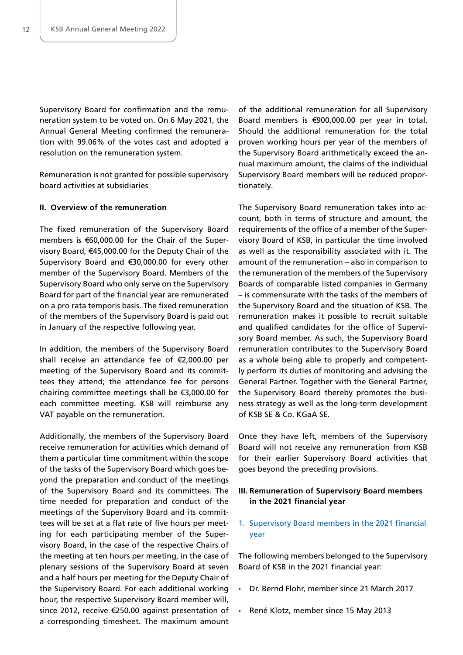Supervisory Board for confirmation and the remuneration system to be voted on. On 6 May 2021, the Annual General Meeting confirmed the remuneration with 99.06% of the votes cast and adopted a resolution on the remuneration system.

Remuneration is not granted for possible supervisory board activities at subsidiaries

#### **II. Overview of the remuneration**

The fixed remuneration of the Supervisory Board members is €60,000.00 for the Chair of the Supervisory Board, €45,000.00 for the Deputy Chair of the Supervisory Board and €30,000.00 for every other member of the Supervisory Board. Members of the Supervisory Board who only serve on the Supervisory Board for part of the financial year are remunerated on a pro rata temporis basis. The fixed remuneration of the members of the Supervisory Board is paid out in January of the respective following year.

In addition, the members of the Supervisory Board shall receive an attendance fee of €2,000.00 per meeting of the Supervisory Board and its committees they attend; the attendance fee for persons chairing committee meetings shall be €3,000.00 for each committee meeting. KSB will reimburse any VAT payable on the remuneration.

Additionally, the members of the Supervisory Board receive remuneration for activities which demand of them a particular time commitment within the scope of the tasks of the Supervisory Board which goes beyond the preparation and conduct of the meetings of the Supervisory Board and its committees. The time needed for preparation and conduct of the meetings of the Supervisory Board and its committees will be set at a flat rate of five hours per meeting for each participating member of the Supervisory Board, in the case of the respective Chairs of the meeting at ten hours per meeting, in the case of plenary sessions of the Supervisory Board at seven and a half hours per meeting for the Deputy Chair of the Supervisory Board. For each additional working hour, the respective Supervisory Board member will, since 2012, receive €250.00 against presentation of a corresponding timesheet. The maximum amount

of the additional remuneration for all Supervisory Board members is €900,000.00 per year in total. Should the additional remuneration for the total proven working hours per year of the members of the Supervisory Board arithmetically exceed the annual maximum amount, the claims of the individual Supervisory Board members will be reduced proportionately.

The Supervisory Board remuneration takes into account, both in terms of structure and amount, the requirements of the office of a member of the Supervisory Board of KSB, in particular the time involved as well as the responsibility associated with it. The amount of the remuneration – also in comparison to the remuneration of the members of the Supervisory Boards of comparable listed companies in Germany – is commensurate with the tasks of the members of the Supervisory Board and the situation of KSB. The remuneration makes it possible to recruit suitable and qualified candidates for the office of Supervisory Board member. As such, the Supervisory Board remuneration contributes to the Supervisory Board as a whole being able to properly and competently perform its duties of monitoring and advising the General Partner. Together with the General Partner, the Supervisory Board thereby promotes the business strategy as well as the long-term development of KSB SE & Co. KGaA SE.

Once they have left, members of the Supervisory Board will not receive any remuneration from KSB for their earlier Supervisory Board activities that goes beyond the preceding provisions.

# **III. Remuneration of Supervisory Board members in the 2021 financial year**

1. Supervisory Board members in the 2021 financial year

The following members belonged to the Supervisory Board of KSB in the 2021 financial year:

- Dr. Bernd Flohr, member since 21 March 2017
- René Klotz, member since 15 May 2013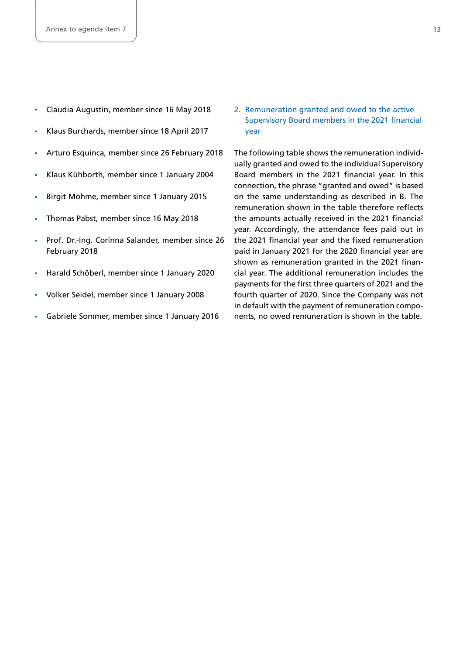- Claudia Augustin, member since 16 May 2018
- Klaus Burchards, member since 18 April 2017
- **Arturo Esquinca, member since 26 February 2018**
- Klaus Kühborth, member since 1 January 2004
- Birgit Mohme, member since 1 January 2015
- **Thomas Pabst, member since 16 May 2018**
- **Prof. Dr.-Ing. Corinna Salander, member since 26** February 2018
- Harald Schöberl, member since 1 January 2020
- Volker Seidel, member since 1 January 2008
- Gabriele Sommer, member since 1 January 2016

2. Remuneration granted and owed to the active Supervisory Board members in the 2021 financial year

The following table shows the remuneration individually granted and owed to the individual Supervisory Board members in the 2021 financial year. In this connection, the phrase "granted and owed" is based on the same understanding as described in B. The remuneration shown in the table therefore reflects the amounts actually received in the 2021 financial year. Accordingly, the attendance fees paid out in the 2021 financial year and the fixed remuneration paid in January 2021 for the 2020 financial year are shown as remuneration granted in the 2021 financial year. The additional remuneration includes the payments for the first three quarters of 2021 and the fourth quarter of 2020. Since the Company was not in default with the payment of remuneration components, no owed remuneration is shown in the table.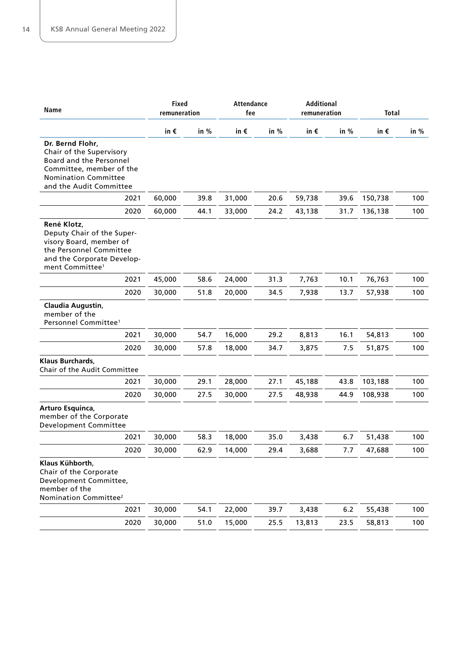| Name                                                                                                                                                          | <b>Fixed</b><br>remuneration |      | <b>Attendance</b><br>fee |        | Additional<br>remuneration |       | <b>Total</b> |        |
|---------------------------------------------------------------------------------------------------------------------------------------------------------------|------------------------------|------|--------------------------|--------|----------------------------|-------|--------------|--------|
|                                                                                                                                                               | in €                         | in % | in $\epsilon$            | in $%$ | in $\epsilon$              | in %  | in €         | in $%$ |
| Dr. Bernd Flohr,<br>Chair of the Supervisory<br>Board and the Personnel<br>Committee, member of the<br><b>Nomination Committee</b><br>and the Audit Committee |                              |      |                          |        |                            |       |              |        |
| 2021                                                                                                                                                          | 60,000                       | 39.8 | 31,000                   | 20.6   | 59,738                     | 39.6  | 150,738      | 100    |
| 2020                                                                                                                                                          | 60,000                       | 44.1 | 33,000                   | 24.2   | 43,138                     | 31.7  | 136,138      | 100    |
| René Klotz,<br>Deputy Chair of the Super-<br>visory Board, member of<br>the Personnel Committee<br>and the Corporate Develop-<br>ment Committee <sup>1</sup>  |                              |      |                          |        |                            |       |              |        |
| 2021                                                                                                                                                          | 45,000                       | 58.6 | 24,000                   | 31.3   | 7,763                      | 10.1  | 76,763       | 100    |
| 2020                                                                                                                                                          | 30,000                       | 51.8 | 20,000                   | 34.5   | 7,938                      | 13.7  | 57,938       | 100    |
| Claudia Augustin,<br>member of the<br>Personnel Committee <sup>1</sup>                                                                                        |                              |      |                          |        |                            |       |              |        |
| 2021                                                                                                                                                          | 30,000                       | 54.7 | 16,000                   | 29.2   | 8,813                      | 16.1  | 54,813       | 100    |
| 2020                                                                                                                                                          | 30,000                       | 57.8 | 18,000                   | 34.7   | 3,875                      | 7.5   | 51,875       | 100    |
| Klaus Burchards,<br><b>Chair of the Audit Committee</b>                                                                                                       |                              |      |                          |        |                            |       |              |        |
| 2021                                                                                                                                                          | 30,000                       | 29.1 | 28,000                   | 27.1   | 45,188                     | 43.8  | 103,188      | 100    |
| 2020                                                                                                                                                          | 30,000                       | 27.5 | 30,000                   | 27.5   | 48,938                     | 44.9  | 108,938      | 100    |
| Arturo Esquinca,<br>member of the Corporate<br>Development Committee                                                                                          |                              |      |                          |        |                            |       |              |        |
| 2021                                                                                                                                                          | 30,000                       | 58.3 | 18,000                   | 35.0   | 3,438                      | 6.7   | 51,438       | 100    |
| 2020                                                                                                                                                          | 30,000                       | 62.9 | 14,000                   | 29.4   | 3,688                      | 7.7   | 47,688       | 100    |
| Klaus Kühborth,<br>Chair of the Corporate<br>Development Committee,<br>member of the<br>Nomination Committee <sup>2</sup>                                     |                              |      |                          |        |                            |       |              |        |
| 2021                                                                                                                                                          | 30,000                       | 54.1 | 22,000                   | 39.7   | 3,438                      | $6.2$ | 55,438       | 100    |
| 2020                                                                                                                                                          | 30,000                       | 51.0 | 15,000                   | 25.5   | 13,813                     | 23.5  | 58,813       | 100    |
|                                                                                                                                                               |                              |      |                          |        |                            |       |              |        |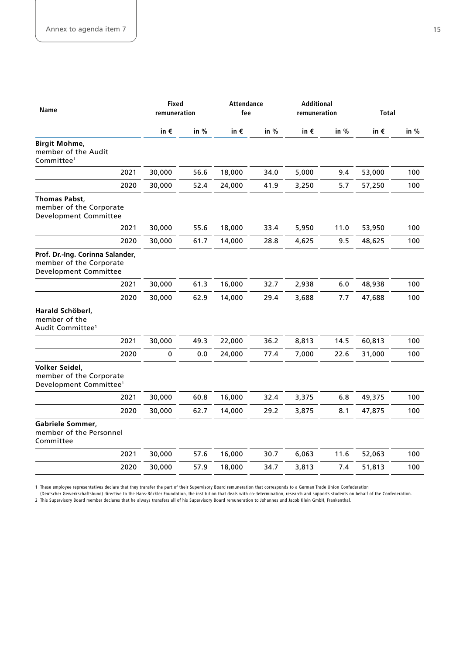| Name                                                                                 | <b>Fixed</b><br>remuneration |         | <b>Attendance</b><br>fee |      | Additional<br>remuneration |      | <b>Total</b>  |      |
|--------------------------------------------------------------------------------------|------------------------------|---------|--------------------------|------|----------------------------|------|---------------|------|
|                                                                                      | in $\epsilon$                | in %    | in $\epsilon$            | in % | in $\epsilon$              | in % | in $\epsilon$ | in % |
| <b>Birgit Mohme,</b><br>member of the Audit<br>Committee <sup>1</sup>                |                              |         |                          |      |                            |      |               |      |
| 2021                                                                                 | 30,000                       | 56.6    | 18,000                   | 34.0 | 5,000                      | 9.4  | 53,000        | 100  |
| 2020                                                                                 | 30,000                       | 52.4    | 24,000                   | 41.9 | 3,250                      | 5.7  | 57,250        | 100  |
| <b>Thomas Pabst,</b><br>member of the Corporate<br>Development Committee             |                              |         |                          |      |                            |      |               |      |
| 2021                                                                                 | 30,000                       | 55.6    | 18,000                   | 33.4 | 5,950                      | 11.0 | 53,950        | 100  |
| 2020                                                                                 | 30,000                       | 61.7    | 14,000                   | 28.8 | 4,625                      | 9.5  | 48,625        | 100  |
| Prof. Dr.-Ing. Corinna Salander,<br>member of the Corporate<br>Development Committee |                              |         |                          |      |                            |      |               |      |
| 2021                                                                                 | 30,000                       | 61.3    | 16,000                   | 32.7 | 2,938                      | 6.0  | 48,938        | 100  |
| 2020                                                                                 | 30,000                       | 62.9    | 14,000                   | 29.4 | 3,688                      | 7.7  | 47,688        | 100  |
| Harald Schöberl,<br>member of the<br>Audit Committee <sup>1</sup>                    |                              |         |                          |      |                            |      |               |      |
| 2021                                                                                 | 30,000                       | 49.3    | 22,000                   | 36.2 | 8,813                      | 14.5 | 60,813        | 100  |
| 2020                                                                                 | $\pmb{0}$                    | $0.0\,$ | 24,000                   | 77.4 | 7,000                      | 22.6 | 31,000        | 100  |
| Volker Seidel,<br>member of the Corporate<br>Development Committee <sup>1</sup>      |                              |         |                          |      |                            |      |               |      |
| 2021                                                                                 | 30,000                       | 60.8    | 16,000                   | 32.4 | 3,375                      | 6.8  | 49,375        | 100  |
| 2020                                                                                 | 30,000                       | 62.7    | 14,000                   | 29.2 | 3,875                      | 8.1  | 47,875        | 100  |
| <b>Gabriele Sommer,</b><br>member of the Personnel<br>Committee                      |                              |         |                          |      |                            |      |               |      |
| 2021                                                                                 | 30,000                       | 57.6    | 16,000                   | 30.7 | 6,063                      | 11.6 | 52,063        | 100  |
| 2020                                                                                 | 30,000                       | 57.9    | 18,000                   | 34.7 | 3,813                      | 7.4  | 51,813        | 100  |
|                                                                                      |                              |         |                          |      |                            |      |               |      |

1 These employee representatives declare that they transfer the part of their Supervisory Board remuneration that corresponds to a German Trade Union Confederation

(Deutscher Gewerkschaftsbund) directive to the Hans-Böckler Foundation, the institution that deals with co-determination, research and supports students on behalf of the Confederation. 2 This Supervisory Board member declares that he always transfers all of his Supervisory Board remuneration to Johannes und Jacob Klein GmbH, Frankenthal.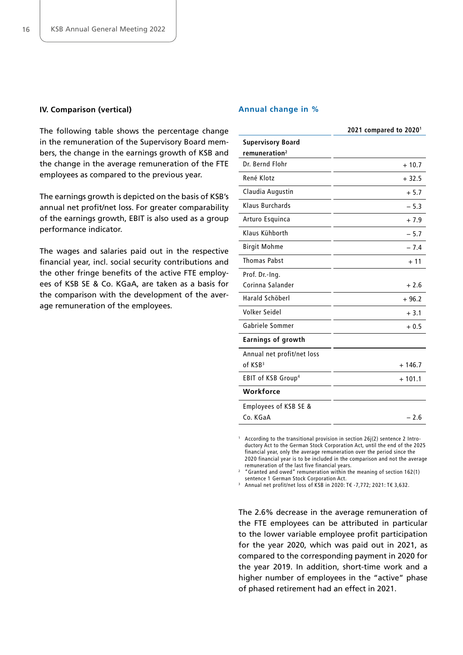#### **IV. Comparison (vertical)**

The following table shows the percentage change in the remuneration of the Supervisory Board members, the change in the earnings growth of KSB and the change in the average remuneration of the FTE employees as compared to the previous year.

The earnings growth is depicted on the basis of KSB's annual net profit/net loss. For greater comparability of the earnings growth, EBIT is also used as a group performance indicator.

The wages and salaries paid out in the respective financial year, incl. social security contributions and the other fringe benefits of the active FTE employees of KSB SE & Co. KGaA, are taken as a basis for the comparison with the development of the average remuneration of the employees.

#### **Annual change in %**

|                                | 2021 compared to 2020 <sup>1</sup> |
|--------------------------------|------------------------------------|
| <b>Supervisory Board</b>       |                                    |
| remuneration <sup>2</sup>      |                                    |
| Dr. Bernd Flohr                | $+10.7$                            |
| René Klotz                     | $+32.5$                            |
| Claudia Augustin               | $+5.7$                             |
| Klaus Burchards                | $-5.3$                             |
| Arturo Esquinca                | $+7.9$                             |
| Klaus Kühborth                 | $-5.7$                             |
| <b>Birgit Mohme</b>            | $-7.4$                             |
| <b>Thomas Pabst</b>            | $+11$                              |
| Prof. Dr.-Ing.                 |                                    |
| Corinna Salander               | $+2.6$                             |
| Harald Schöberl                | $+96.2$                            |
| Volker Seidel                  | $+3.1$                             |
| Gabriele Sommer                | $+0.5$                             |
| <b>Earnings of growth</b>      |                                    |
| Annual net profit/net loss     |                                    |
| of KSB <sup>3</sup>            | $+146.7$                           |
| EBIT of KSB Group <sup>4</sup> | $+101.1$                           |
| Workforce                      |                                    |
| Employees of KSB SE &          |                                    |
| Co. KGaA                       | $-2.6$                             |

<sup>1</sup> According to the transitional provision in section 26j(2) sentence 2 Introductory Act to the German Stock Corporation Act, until the end of the 2025 financial year, only the average remuneration over the period since the 2020 financial year is to be included in the comparison and not the average remuneration of the last five financial years.

2 "Granted and owed" remuneration within the meaning of section 162(1) sentence 1 German Stock Corporation Act.

Annual net profit/net loss of KSB in 2020: T€ -7,772; 2021: T€ 3,632.

The 2.6% decrease in the average remuneration of the FTE employees can be attributed in particular to the lower variable employee profit participation for the year 2020, which was paid out in 2021, as compared to the corresponding payment in 2020 for the year 2019. In addition, short-time work and a higher number of employees in the "active" phase of phased retirement had an effect in 2021.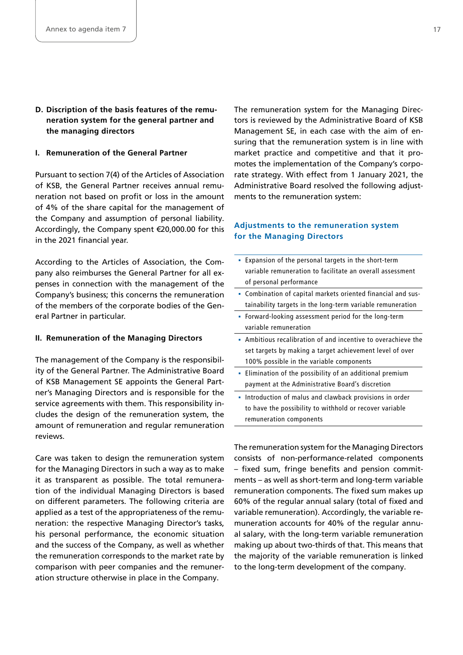**D. Discription of the basis features of the remuneration system for the general partner and the managing directors**

#### **I. Remuneration of the General Partner**

Pursuant to section 7(4) of the Articles of Association of KSB, the General Partner receives annual remuneration not based on profit or loss in the amount of 4% of the share capital for the management of the Company and assumption of personal liability. Accordingly, the Company spent €20,000.00 for this in the 2021 financial year.

According to the Articles of Association, the Company also reimburses the General Partner for all expenses in connection with the management of the Company's business; this concerns the remuneration of the members of the corporate bodies of the General Partner in particular.

#### **II. Remuneration of the Managing Directors**

The management of the Company is the responsibility of the General Partner. The Administrative Board of KSB Management SE appoints the General Partner's Managing Directors and is responsible for the service agreements with them. This responsibility includes the design of the remuneration system, the amount of remuneration and regular remuneration reviews.

Care was taken to design the remuneration system for the Managing Directors in such a way as to make it as transparent as possible. The total remuneration of the individual Managing Directors is based on different parameters. The following criteria are applied as a test of the appropriateness of the remuneration: the respective Managing Director's tasks, his personal performance, the economic situation and the success of the Company, as well as whether the remuneration corresponds to the market rate by comparison with peer companies and the remuneration structure otherwise in place in the Company.

The remuneration system for the Managing Directors is reviewed by the Administrative Board of KSB Management SE, in each case with the aim of ensuring that the remuneration system is in line with market practice and competitive and that it promotes the implementation of the Company's corporate strategy. With effect from 1 January 2021, the Administrative Board resolved the following adjustments to the remuneration system:

# **Adjustments to the remuneration system for the Managing Directors**

- Expansion of the personal targets in the short-term variable remuneration to facilitate an overall assessment of personal performance
- Combination of capital markets oriented financial and sustainability targets in the long-term variable remuneration
- Forward-looking assessment period for the long-term variable remuneration
- Ambitious recalibration of and incentive to overachieve the set targets by making a target achievement level of over 100% possible in the variable components
- **Elimination of the possibility of an additional premium** payment at the Administrative Board's discretion
- **EXTENUTION** Introduction of malus and clawback provisions in order to have the possibility to withhold or recover variable remuneration components

The remuneration system for the Managing Directors consists of non-performance-related components – fixed sum, fringe benefits and pension commitments – as well as short-term and long-term variable remuneration components. The fixed sum makes up 60% of the regular annual salary (total of fixed and variable remuneration). Accordingly, the variable remuneration accounts for 40% of the regular annual salary, with the long-term variable remuneration making up about two-thirds of that. This means that the majority of the variable remuneration is linked to the long-term development of the company.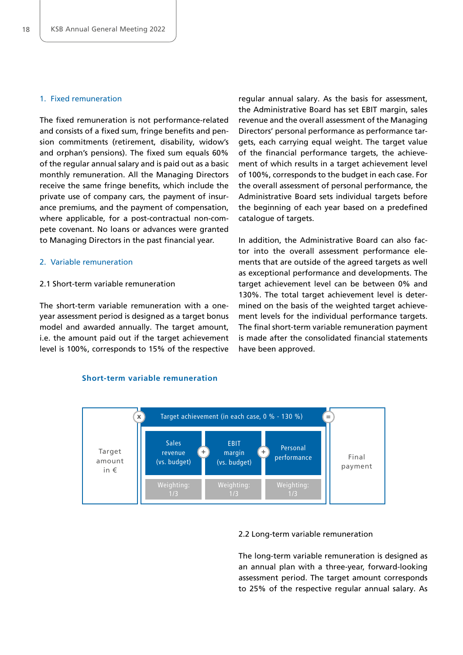# 1. Fixed remuneration

The fixed remuneration is not performance-related and consists of a fixed sum, fringe benefits and pension commitments (retirement, disability, widow's and orphan's pensions). The fixed sum equals 60% of the regular annual salary and is paid out as a basic monthly remuneration. All the Managing Directors receive the same fringe benefits, which include the private use of company cars, the payment of insurance premiums, and the payment of compensation, where applicable, for a post-contractual non-compete covenant. No loans or advances were granted to Managing Directors in the past financial year.

#### 2. Variable remuneration

#### 2.1 Short-term variable remuneration

The short-term variable remuneration with a oneyear assessment period is designed as a target bonus model and awarded annually. The target amount, i.e. the amount paid out if the target achievement level is 100%, corresponds to 15% of the respective

regular annual salary. As the basis for assessment, the Administrative Board has set EBIT margin, sales revenue and the overall assessment of the Managing Directors' personal performance as performance targets, each carrying equal weight. The target value of the financial performance targets, the achievement of which results in a target achievement level of 100%, corresponds to the budget in each case. For the overall assessment of personal performance, the Administrative Board sets individual targets before the beginning of each year based on a predefined catalogue of targets.

In addition, the Administrative Board can also factor into the overall assessment performance elements that are outside of the agreed targets as well as exceptional performance and developments. The target achievement level can be between 0% and 130%. The total target achievement level is determined on the basis of the weighted target achievement levels for the individual performance targets. The final short-term variable remuneration payment is made after the consolidated financial statements have been approved.



#### 2.2 Long-term variable remuneration

The long-term variable remuneration is designed as an annual plan with a three-year, forward-looking assessment period. The target amount corresponds to 25% of the respective regular annual salary. As

#### **Short-term variable remuneration**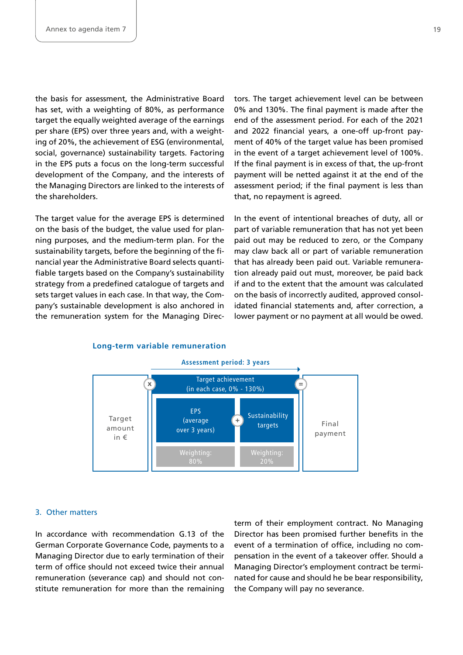the basis for assessment, the Administrative Board has set, with a weighting of 80%, as performance target the equally weighted average of the earnings per share (EPS) over three years and, with a weighting of 20%, the achievement of ESG (environmental, social, governance) sustainability targets. Factoring in the EPS puts a focus on the long-term successful development of the Company, and the interests of the Managing Directors are linked to the interests of the shareholders.

The target value for the average EPS is determined on the basis of the budget, the value used for planning purposes, and the medium-term plan. For the sustainability targets, before the beginning of the financial year the Administrative Board selects quantifiable targets based on the Company's sustainability strategy from a predefined catalogue of targets and sets target values in each case. In that way, the Company's sustainable development is also anchored in the remuneration system for the Managing Directors. The target achievement level can be between 0% and 130%. The final payment is made after the end of the assessment period. For each of the 2021 and 2022 financial years, a one-off up-front payment of 40% of the target value has been promised in the event of a target achievement level of 100%. If the final payment is in excess of that, the up-front payment will be netted against it at the end of the assessment period; if the final payment is less than that, no repayment is agreed.

In the event of intentional breaches of duty, all or part of variable remuneration that has not yet been paid out may be reduced to zero, or the Company may claw back all or part of variable remuneration that has already been paid out. Variable remuneration already paid out must, moreover, be paid back if and to the extent that the amount was calculated on the basis of incorrectly audited, approved consolidated financial statements and, after correction, a lower payment or no payment at all would be owed.



#### **Long-term variable remuneration**

#### 3. Other matters

In accordance with recommendation G.13 of the German Corporate Governance Code, payments to a Managing Director due to early termination of their term of office should not exceed twice their annual remuneration (severance cap) and should not constitute remuneration for more than the remaining

term of their employment contract. No Managing Director has been promised further benefits in the event of a termination of office, including no compensation in the event of a takeover offer. Should a Managing Director's employment contract be terminated for cause and should he be bear responsibility, the Company will pay no severance.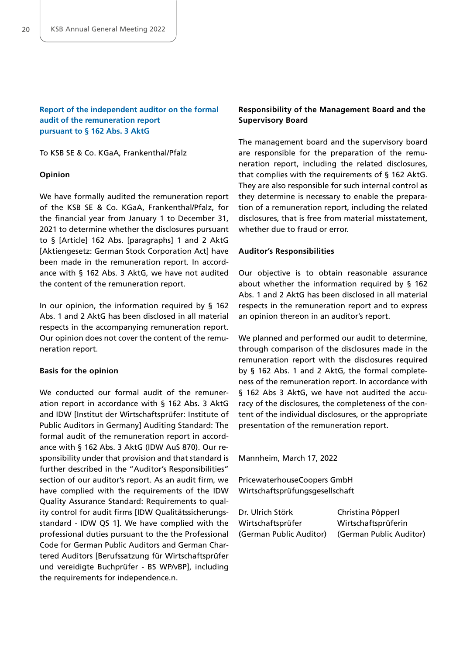# **Report of the independent auditor on the formal audit of the remuneration report pursuant to § 162 Abs. 3 AktG**

To KSB SE & Co. KGaA, Frankenthal/Pfalz

#### **Opinion**

We have formally audited the remuneration report of the KSB SE & Co. KGaA, Frankenthal/Pfalz, for the financial year from January 1 to December 31, 2021 to determine whether the disclosures pursuant to § [Article] 162 Abs. [paragraphs] 1 and 2 AktG [Aktiengesetz: German Stock Corporation Act] have been made in the remuneration report. In accordance with § 162 Abs. 3 AktG, we have not audited the content of the remuneration report.

In our opinion, the information required by § 162 Abs. 1 and 2 AktG has been disclosed in all material respects in the accompanying remuneration report. Our opinion does not cover the content of the remuneration report.

#### **Basis for the opinion**

We conducted our formal audit of the remuneration report in accordance with § 162 Abs. 3 AktG and IDW [Institut der Wirtschaftsprüfer: Institute of Public Auditors in Germany] Auditing Standard: The formal audit of the remuneration report in accordance with § 162 Abs. 3 AktG (IDW AuS 870). Our responsibility under that provision and that standard is further described in the "Auditor's Responsibilities" section of our auditor's report. As an audit firm, we have complied with the requirements of the IDW Quality Assurance Standard: Requirements to quality control for audit firms [IDW Qualitätssicherungsstandard - IDW QS 1]. We have complied with the professional duties pursuant to the the Professional Code for German Public Auditors and German Chartered Auditors [Berufssatzung für Wirtschaftsprüfer und vereidigte Buchprüfer - BS WP/vBP], including the requirements for independence.n.

# **Responsibility of the Management Board and the Supervisory Board**

The management board and the supervisory board are responsible for the preparation of the remuneration report, including the related disclosures, that complies with the requirements of § 162 AktG. They are also responsible for such internal control as they determine is necessary to enable the preparation of a remuneration report, including the related disclosures, that is free from material misstatement, whether due to fraud or error.

#### **Auditor's Responsibilities**

Our objective is to obtain reasonable assurance about whether the information required by § 162 Abs. 1 and 2 AktG has been disclosed in all material respects in the remuneration report and to express an opinion thereon in an auditor's report.

We planned and performed our audit to determine, through comparison of the disclosures made in the remuneration report with the disclosures required by § 162 Abs. 1 and 2 AktG, the formal completeness of the remuneration report. In accordance with § 162 Abs 3 AktG, we have not audited the accuracy of the disclosures, the completeness of the content of the individual disclosures, or the appropriate presentation of the remuneration report.

Mannheim, March 17, 2022

PricewaterhouseCoopers GmbH Wirtschaftsprüfungsgesellschaft

| Dr. Ulrich Störk        | Christina Pöpperl       |
|-------------------------|-------------------------|
| Wirtschaftsprüfer       | Wirtschaftsprüferin     |
| (German Public Auditor) | (German Public Auditor) |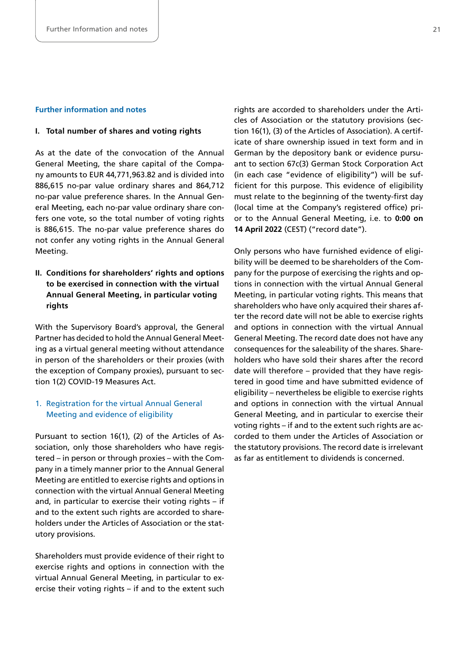#### **Further information and notes**

#### **I. Total number of shares and voting rights**

As at the date of the convocation of the Annual General Meeting, the share capital of the Company amounts to EUR 44,771,963.82 and is divided into 886,615 no-par value ordinary shares and 864,712 no-par value preference shares. In the Annual General Meeting, each no-par value ordinary share confers one vote, so the total number of voting rights is 886,615. The no-par value preference shares do not confer any voting rights in the Annual General Meeting.

# **II. Conditions for shareholders' rights and options to be exercised in connection with the virtual Annual General Meeting, in particular voting rights**

With the Supervisory Board's approval, the General Partner has decided to hold the Annual General Meeting as a virtual general meeting without attendance in person of the shareholders or their proxies (with the exception of Company proxies), pursuant to section 1(2) COVID-19 Measures Act.

# 1. Registration for the virtual Annual General Meeting and evidence of eligibility

Pursuant to section 16(1), (2) of the Articles of Association, only those shareholders who have registered – in person or through proxies – with the Company in a timely manner prior to the Annual General Meeting are entitled to exercise rights and options in connection with the virtual Annual General Meeting and, in particular to exercise their voting rights – if and to the extent such rights are accorded to shareholders under the Articles of Association or the statutory provisions.

Shareholders must provide evidence of their right to exercise rights and options in connection with the virtual Annual General Meeting, in particular to exercise their voting rights – if and to the extent such rights are accorded to shareholders under the Articles of Association or the statutory provisions (section 16(1), (3) of the Articles of Association). A certificate of share ownership issued in text form and in German by the depository bank or evidence pursuant to section 67c(3) German Stock Corporation Act (in each case "evidence of eligibility") will be sufficient for this purpose. This evidence of eligibility must relate to the beginning of the twenty-first day (local time at the Company's registered office) prior to the Annual General Meeting, i.e. to **0:00 on 14 April 2022** (CEST) ("record date").

Only persons who have furnished evidence of eligibility will be deemed to be shareholders of the Company for the purpose of exercising the rights and options in connection with the virtual Annual General Meeting, in particular voting rights. This means that shareholders who have only acquired their shares after the record date will not be able to exercise rights and options in connection with the virtual Annual General Meeting. The record date does not have any consequences for the saleability of the shares. Shareholders who have sold their shares after the record date will therefore – provided that they have registered in good time and have submitted evidence of eligibility – nevertheless be eligible to exercise rights and options in connection with the virtual Annual General Meeting, and in particular to exercise their voting rights – if and to the extent such rights are accorded to them under the Articles of Association or the statutory provisions. The record date is irrelevant as far as entitlement to dividends is concerned.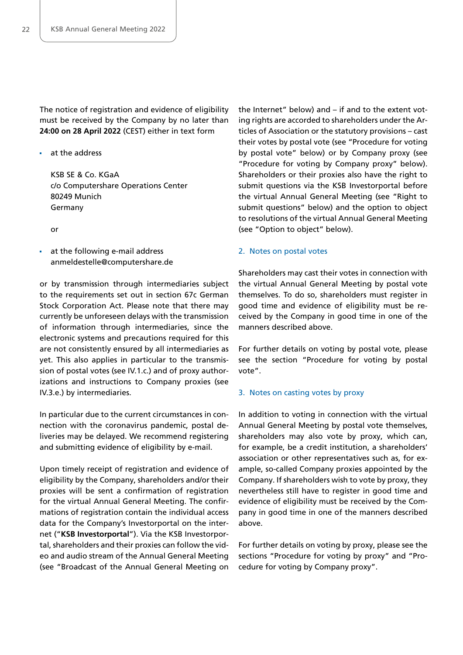The notice of registration and evidence of eligibility must be received by the Company by no later than **24:00 on 28 April 2022** (CEST) either in text form

**at the address** 

 KSB SE & Co. KGaA c/o Computershare Operations Center 80249 Munich Germany

or

 at the following e-mail address [anmeldestelle@computershare.de](mailto:anmeldestelle@computershare.de)

or by transmission through intermediaries subject to the requirements set out in section 67c German Stock Corporation Act. Please note that there may currently be unforeseen delays with the transmission of information through intermediaries, since the electronic systems and precautions required for this are not consistently ensured by all intermediaries as yet. This also applies in particular to the transmission of postal votes (see IV.1.c.) and of proxy authorizations and instructions to Company proxies (see IV.3.e.) by intermediaries.

In particular due to the current circumstances in connection with the coronavirus pandemic, postal deliveries may be delayed. We recommend registering and submitting evidence of eligibility by e-mail.

Upon timely receipt of registration and evidence of eligibility by the Company, shareholders and/or their proxies will be sent a confirmation of registration for the virtual Annual General Meeting. The confirmations of registration contain the individual access data for the Company's Investorportal on the internet ("**KSB Investorportal**"). Via the KSB Investorportal, shareholders and their proxies can follow the video and audio stream of the Annual General Meeting (see "Broadcast of the Annual General Meeting on

the Internet" below) and – if and to the extent voting rights are accorded to shareholders under the Articles of Association or the statutory provisions – cast their votes by postal vote (see "Procedure for voting by postal vote" below) or by Company proxy (see "Procedure for voting by Company proxy" below). Shareholders or their proxies also have the right to submit questions via the KSB Investorportal before the virtual Annual General Meeting (see "Right to submit questions" below) and the option to object to resolutions of the virtual Annual General Meeting (see "Option to object" below).

#### 2. Notes on postal votes

Shareholders may cast their votes in connection with the virtual Annual General Meeting by postal vote themselves. To do so, shareholders must register in good time and evidence of eligibility must be received by the Company in good time in one of the manners described above.

For further details on voting by postal vote, please see the section "Procedure for voting by postal vote".

#### 3. Notes on casting votes by proxy

In addition to voting in connection with the virtual Annual General Meeting by postal vote themselves, shareholders may also vote by proxy, which can, for example, be a credit institution, a shareholders' association or other representatives such as, for example, so-called Company proxies appointed by the Company. If shareholders wish to vote by proxy, they nevertheless still have to register in good time and evidence of eligibility must be received by the Company in good time in one of the manners described above.

For further details on voting by proxy, please see the sections "Procedure for voting by proxy" and "Procedure for voting by Company proxy".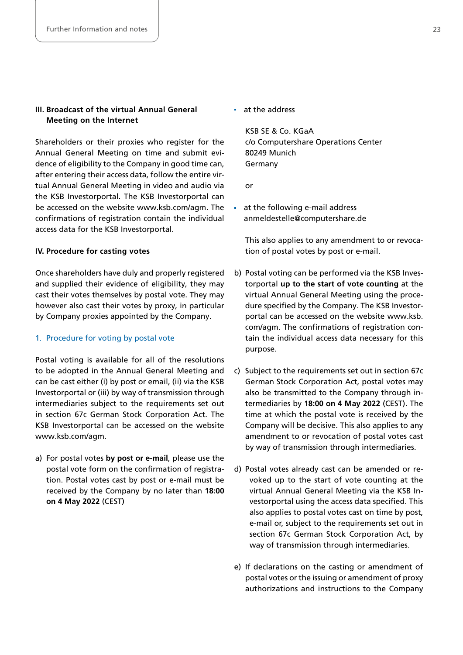# **III. Broadcast of the virtual Annual General Meeting on the Internet**

Shareholders or their proxies who register for the Annual General Meeting on time and submit evidence of eligibility to the Company in good time can, after entering their access data, follow the entire virtual Annual General Meeting in video and audio via the KSB Investorportal. The KSB Investorportal can be accessed on the website [www.ksb.com/agm.](https://www.ksb.com/agm) The confirmations of registration contain the individual access data for the KSB Investorportal.

# **IV. Procedure for casting votes**

Once shareholders have duly and properly registered and supplied their evidence of eligibility, they may cast their votes themselves by postal vote. They may however also cast their votes by proxy, in particular by Company proxies appointed by the Company.

#### 1. Procedure for voting by postal vote

Postal voting is available for all of the resolutions to be adopted in the Annual General Meeting and can be cast either (i) by post or email, (ii) via the KSB Investorportal or (iii) by way of transmission through intermediaries subject to the requirements set out in section 67c German Stock Corporation Act. The KSB Investorportal can be accessed on the website [www.ksb.com/agm.](https://www.ksb.com/agm)

a) For postal votes **by post or e-mail**, please use the postal vote form on the confirmation of registration. Postal votes cast by post or e-mail must be received by the Company by no later than **18:00 on 4 May 2022** (CEST)

at the address

KSB SE & Co. KGaA c/o Computershare Operations Center 80249 Munich Germany

or

 at the following e-mail address [anmeldestelle@computershare.de](mailto:anmeldestelle@computershare.de)

 This also applies to any amendment to or revocation of postal votes by post or e-mail.

- b) Postal voting can be performed via the KSB Investorportal **up to the start of vote counting** at the virtual Annual General Meeting using the procedure specified by the Company. The KSB Investorportal can be accessed on the website [www.ksb.](https://www.ksb.com/agm) [com/agm.](https://www.ksb.com/agm) The confirmations of registration contain the individual access data necessary for this purpose.
- c) Subject to the requirements set out in section 67c German Stock Corporation Act, postal votes may also be transmitted to the Company through intermediaries by **18:00 on 4 May 2022** (CEST). The time at which the postal vote is received by the Company will be decisive. This also applies to any amendment to or revocation of postal votes cast by way of transmission through intermediaries.
- d) Postal votes already cast can be amended or revoked up to the start of vote counting at the virtual Annual General Meeting via the KSB Investorportal using the access data specified. This also applies to postal votes cast on time by post, e-mail or, subject to the requirements set out in section 67c German Stock Corporation Act, by way of transmission through intermediaries.
- e) If declarations on the casting or amendment of postal votes or the issuing or amendment of proxy authorizations and instructions to the Company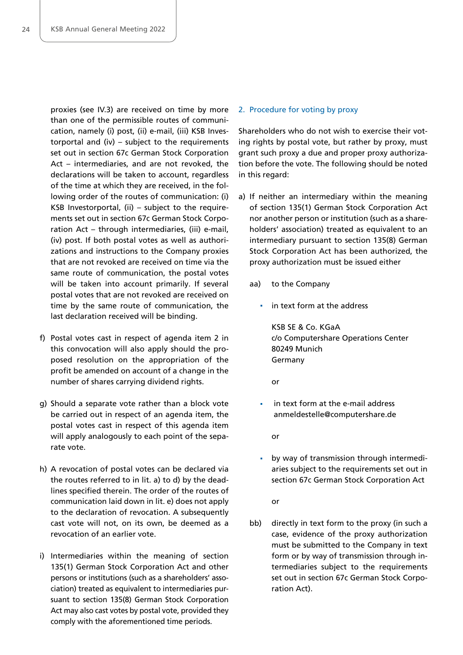proxies (see IV.3) are received on time by more than one of the permissible routes of communication, namely (i) post, (ii) e-mail, (iii) KSB Investorportal and (iv) – subject to the requirements set out in section 67c German Stock Corporation Act - intermediaries, and are not revoked, the declarations will be taken to account, regardless of the time at which they are received, in the following order of the routes of communication: (i) KSB Investorportal, (ii) – subject to the requirements set out in section 67c German Stock Corporation Act – through intermediaries, (iii) e-mail, (iv) post. If both postal votes as well as authorizations and instructions to the Company proxies that are not revoked are received on time via the same route of communication, the postal votes will be taken into account primarily. If several postal votes that are not revoked are received on time by the same route of communication, the last declaration received will be binding.

- f) Postal votes cast in respect of agenda item 2 in this convocation will also apply should the proposed resolution on the appropriation of the profit be amended on account of a change in the number of shares carrying dividend rights.
- g) Should a separate vote rather than a block vote be carried out in respect of an agenda item, the postal votes cast in respect of this agenda item will apply analogously to each point of the separate vote.
- h) A revocation of postal votes can be declared via the routes referred to in lit. a) to d) by the deadlines specified therein. The order of the routes of communication laid down in lit. e) does not apply to the declaration of revocation. A subsequently cast vote will not, on its own, be deemed as a revocation of an earlier vote.
- i) Intermediaries within the meaning of section 135(1) German Stock Corporation Act and other persons or institutions (such as a shareholders' association) treated as equivalent to intermediaries pursuant to section 135(8) German Stock Corporation Act may also cast votes by postal vote, provided they comply with the aforementioned time periods.

#### 2. Procedure for voting by proxy

Shareholders who do not wish to exercise their voting rights by postal vote, but rather by proxy, must grant such proxy a due and proper proxy authorization before the vote. The following should be noted in this regard:

- a) If neither an intermediary within the meaning of section 135(1) German Stock Corporation Act nor another person or institution (such as a shareholders' association) treated as equivalent to an intermediary pursuant to section 135(8) German Stock Corporation Act has been authorized, the proxy authorization must be issued either
	- aa) to the Company
		- $\blacksquare$  in text form at the address

KSB SE & Co. KGaA c/o Computershare Operations Center 80249 Munich Germany

or

**i** in text form at the e-mail address [anmeldestelle@computershare.de](mailto:anmeldestelle@computershare.de)

or

 by way of transmission through intermediaries subject to the requirements set out in section 67c German Stock Corporation Act

or

bb) directly in text form to the proxy (in such a case, evidence of the proxy authorization must be submitted to the Company in text form or by way of transmission through intermediaries subject to the requirements set out in section 67c German Stock Corporation Act).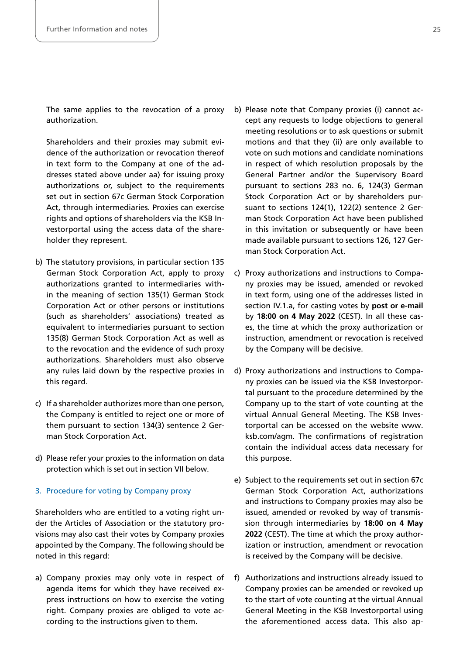The same applies to the revocation of a proxy authorization.

 Shareholders and their proxies may submit evidence of the authorization or revocation thereof in text form to the Company at one of the addresses stated above under aa) for issuing proxy authorizations or, subject to the requirements set out in section 67c German Stock Corporation Act, through intermediaries. Proxies can exercise rights and options of shareholders via the KSB Investorportal using the access data of the shareholder they represent.

- b) The statutory provisions, in particular section 135 German Stock Corporation Act, apply to proxy authorizations granted to intermediaries within the meaning of section 135(1) German Stock Corporation Act or other persons or institutions (such as shareholders' associations) treated as equivalent to intermediaries pursuant to section 135(8) German Stock Corporation Act as well as to the revocation and the evidence of such proxy authorizations. Shareholders must also observe any rules laid down by the respective proxies in this regard.
- c) If a shareholder authorizes more than one person, the Company is entitled to reject one or more of them pursuant to section 134(3) sentence 2 German Stock Corporation Act.
- d) Please refer your proxies to the information on data protection which is set out in section VII below.

#### 3. Procedure for voting by Company proxy

Shareholders who are entitled to a voting right under the Articles of Association or the statutory provisions may also cast their votes by Company proxies appointed by the Company. The following should be noted in this regard:

a) Company proxies may only vote in respect of agenda items for which they have received express instructions on how to exercise the voting right. Company proxies are obliged to vote according to the instructions given to them.

- b) Please note that Company proxies (i) cannot accept any requests to lodge objections to general meeting resolutions or to ask questions or submit motions and that they (ii) are only available to vote on such motions and candidate nominations in respect of which resolution proposals by the General Partner and/or the Supervisory Board pursuant to sections 283 no. 6, 124(3) German Stock Corporation Act or by shareholders pursuant to sections 124(1), 122(2) sentence 2 German Stock Corporation Act have been published in this invitation or subsequently or have been made available pursuant to sections 126, 127 German Stock Corporation Act.
- c) Proxy authorizations and instructions to Company proxies may be issued, amended or revoked in text form, using one of the addresses listed in section IV.1.a, for casting votes by **post or e-mail**  by **18:00 on 4 May 2022** (CEST). In all these cases, the time at which the proxy authorization or instruction, amendment or revocation is received by the Company will be decisive.
- d) Proxy authorizations and instructions to Company proxies can be issued via the KSB Investorportal pursuant to the procedure determined by the Company up to the start of vote counting at the virtual Annual General Meeting. The KSB Investorportal can be accessed on the website [www.](https://www.ksb.com/agm) [ksb.com/agm.](https://www.ksb.com/agm) The confirmations of registration contain the individual access data necessary for this purpose.
- e) Subject to the requirements set out in section 67c German Stock Corporation Act, authorizations and instructions to Company proxies may also be issued, amended or revoked by way of transmission through intermediaries by **18:00 on 4 May 2022** (CEST). The time at which the proxy authorization or instruction, amendment or revocation is received by the Company will be decisive.
- f) Authorizations and instructions already issued to Company proxies can be amended or revoked up to the start of vote counting at the virtual Annual General Meeting in the KSB Investorportal using the aforementioned access data. This also ap-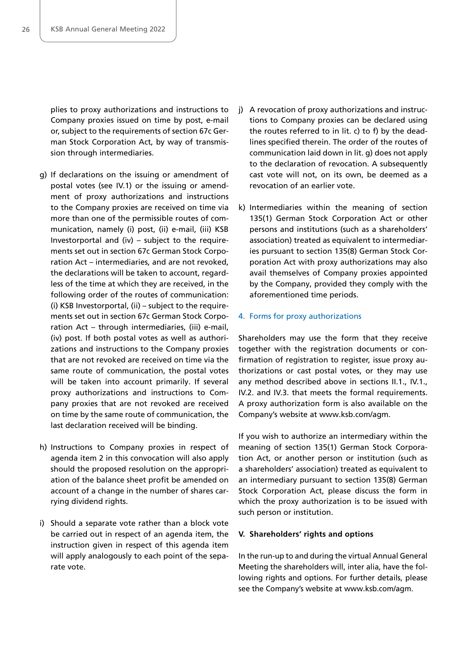plies to proxy authorizations and instructions to Company proxies issued on time by post, e-mail or, subject to the requirements of section 67c German Stock Corporation Act, by way of transmission through intermediaries.

- g) If declarations on the issuing or amendment of postal votes (see IV.1) or the issuing or amendment of proxy authorizations and instructions to the Company proxies are received on time via more than one of the permissible routes of communication, namely (i) post, (ii) e-mail, (iii) KSB Investorportal and (iv) – subject to the requirements set out in section 67c German Stock Corporation Act – intermediaries, and are not revoked, the declarations will be taken to account, regardless of the time at which they are received, in the following order of the routes of communication: (i) KSB Investorportal, (ii) – subject to the requirements set out in section 67c German Stock Corporation Act – through intermediaries, (iii) e-mail, (iv) post. If both postal votes as well as authorizations and instructions to the Company proxies that are not revoked are received on time via the same route of communication, the postal votes will be taken into account primarily. If several proxy authorizations and instructions to Company proxies that are not revoked are received on time by the same route of communication, the last declaration received will be binding.
- h) Instructions to Company proxies in respect of agenda item 2 in this convocation will also apply should the proposed resolution on the appropriation of the balance sheet profit be amended on account of a change in the number of shares carrying dividend rights.
- i) Should a separate vote rather than a block vote be carried out in respect of an agenda item, the instruction given in respect of this agenda item will apply analogously to each point of the separate vote.
- j) A revocation of proxy authorizations and instructions to Company proxies can be declared using the routes referred to in lit. c) to f) by the deadlines specified therein. The order of the routes of communication laid down in lit. g) does not apply to the declaration of revocation. A subsequently cast vote will not, on its own, be deemed as a revocation of an earlier vote.
- k) Intermediaries within the meaning of section 135(1) German Stock Corporation Act or other persons and institutions (such as a shareholders' association) treated as equivalent to intermediaries pursuant to section 135(8) German Stock Corporation Act with proxy authorizations may also avail themselves of Company proxies appointed by the Company, provided they comply with the aforementioned time periods.

#### 4. Forms for proxy authorizations

Shareholders may use the form that they receive together with the registration documents or confirmation of registration to register, issue proxy authorizations or cast postal votes, or they may use any method described above in sections II.1., IV.1., IV.2. and IV.3. that meets the formal requirements. A proxy authorization form is also available on the Company's website at [www.ksb.com/agm.](https://www.ksb.com/agm) 

If you wish to authorize an intermediary within the meaning of section 135(1) German Stock Corporation Act, or another person or institution (such as a shareholders' association) treated as equivalent to an intermediary pursuant to section 135(8) German Stock Corporation Act, please discuss the form in which the proxy authorization is to be issued with such person or institution.

#### **V. Shareholders' rights and options**

In the run-up to and during the virtual Annual General Meeting the shareholders will, inter alia, have the following rights and options. For further details, please see the Company's website at [www.ksb.com/agm.](https://www.ksb.com/agm)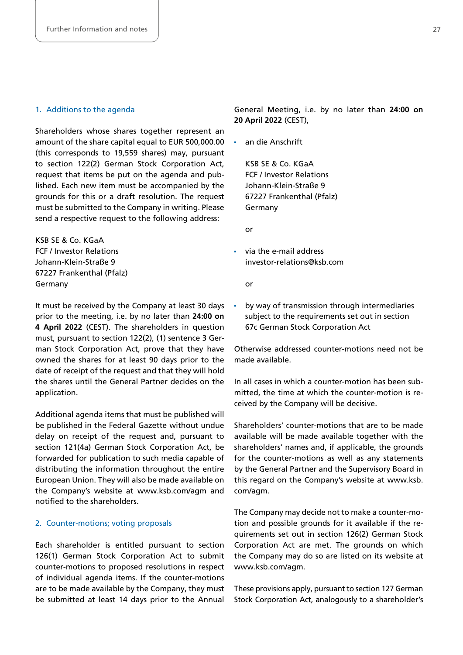# 1. Additions to the agenda

Shareholders whose shares together represent an amount of the share capital equal to EUR 500,000.00 (this corresponds to 19,559 shares) may, pursuant to section 122(2) German Stock Corporation Act, request that items be put on the agenda and published. Each new item must be accompanied by the grounds for this or a draft resolution. The request must be submitted to the Company in writing. Please send a respective request to the following address:

KSB SE & Co. KGaA FCF / Investor Relations Johann-Klein-Straße 9 67227 Frankenthal (Pfalz) Germany

It must be received by the Company at least 30 days prior to the meeting, i.e. by no later than **24:00 on 4 April 2022** (CEST). The shareholders in question must, pursuant to section 122(2), (1) sentence 3 German Stock Corporation Act, prove that they have owned the shares for at least 90 days prior to the date of receipt of the request and that they will hold the shares until the General Partner decides on the application.

Additional agenda items that must be published will be published in the Federal Gazette without undue delay on receipt of the request and, pursuant to section 121(4a) German Stock Corporation Act, be forwarded for publication to such media capable of distributing the information throughout the entire European Union. They will also be made available on the Company's website at [www.ksb.com/agm](https://www.ksb.com/agm) and notified to the shareholders.

#### 2. Counter-motions; voting proposals

Each shareholder is entitled pursuant to section 126(1) German Stock Corporation Act to submit counter-motions to proposed resolutions in respect of individual agenda items. If the counter-motions are to be made available by the Company, they must be submitted at least 14 days prior to the Annual

General Meeting, i.e. by no later than **24:00 on 20 April 2022** (CEST),

an die Anschrift

KSB SE & Co. KGaA FCF / Investor Relations Johann-Klein-Straße 9 67227 Frankenthal (Pfalz) Germany

or

via the e-mail address [investor-relations@ksb.com](mailto:investor-relations@ksb.com)

or

 by way of transmission through intermediaries subject to the requirements set out in section 67c German Stock Corporation Act

Otherwise addressed counter-motions need not be made available.

In all cases in which a counter-motion has been submitted, the time at which the counter-motion is received by the Company will be decisive.

Shareholders' counter-motions that are to be made available will be made available together with the shareholders' names and, if applicable, the grounds for the counter-motions as well as any statements by the General Partner and the Supervisory Board in this regard on the Company's website at [www.ksb.](https://www.ksb.com/agm) [com/agm.](https://www.ksb.com/agm)

The Company may decide not to make a counter-motion and possible grounds for it available if the requirements set out in section 126(2) German Stock Corporation Act are met. The grounds on which the Company may do so are listed on its website at [www.ksb.com/agm.](https://www.ksb.com/agm)

These provisions apply, pursuant to section 127 German Stock Corporation Act, analogously to a shareholder's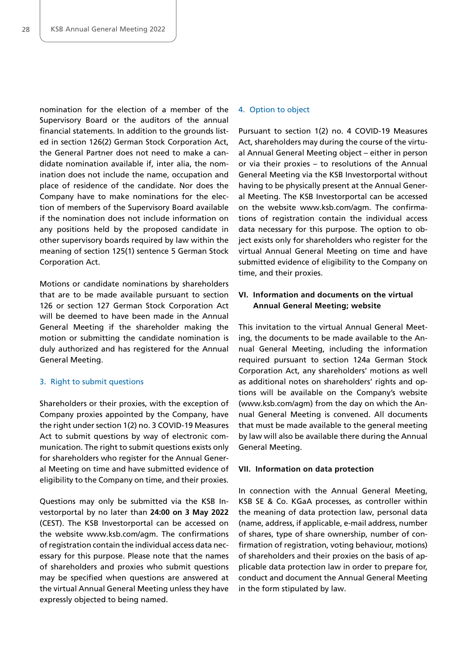nomination for the election of a member of the Supervisory Board or the auditors of the annual financial statements. In addition to the grounds listed in section 126(2) German Stock Corporation Act, the General Partner does not need to make a candidate nomination available if, inter alia, the nomination does not include the name, occupation and place of residence of the candidate. Nor does the Company have to make nominations for the election of members of the Supervisory Board available if the nomination does not include information on any positions held by the proposed candidate in other supervisory boards required by law within the meaning of section 125(1) sentence 5 German Stock Corporation Act.

Motions or candidate nominations by shareholders that are to be made available pursuant to section 126 or section 127 German Stock Corporation Act will be deemed to have been made in the Annual General Meeting if the shareholder making the motion or submitting the candidate nomination is duly authorized and has registered for the Annual General Meeting.

#### 3. Right to submit questions

Shareholders or their proxies, with the exception of Company proxies appointed by the Company, have the right under section 1(2) no. 3 COVID-19 Measures Act to submit questions by way of electronic communication. The right to submit questions exists only for shareholders who register for the Annual General Meeting on time and have submitted evidence of eligibility to the Company on time, and their proxies.

Questions may only be submitted via the KSB Investorportal by no later than **24:00 on 3 May 2022**  (CEST). The KSB Investorportal can be accessed on the website [www.ksb.com/agm.](https://www.ksb.com/agm) The confirmations of registration contain the individual access data necessary for this purpose. Please note that the names of shareholders and proxies who submit questions may be specified when questions are answered at the virtual Annual General Meeting unless they have expressly objected to being named.

#### 4. Option to object

Pursuant to section 1(2) no. 4 COVID-19 Measures Act, shareholders may during the course of the virtual Annual General Meeting object – either in person or via their proxies – to resolutions of the Annual General Meeting via the KSB Investorportal without having to be physically present at the Annual General Meeting. The KSB Investorportal can be accessed on the website [www.ksb.com/agm.](https://www.ksb.com/agm) The confirmations of registration contain the individual access data necessary for this purpose. The option to object exists only for shareholders who register for the virtual Annual General Meeting on time and have submitted evidence of eligibility to the Company on time, and their proxies.

# **VI. Information and documents on the virtual Annual General Meeting; website**

This invitation to the virtual Annual General Meeting, the documents to be made available to the Annual General Meeting, including the information required pursuant to section 124a German Stock Corporation Act, any shareholders' motions as well as additional notes on shareholders' rights and options will be available on the Company's website [\(www.ksb.com/agm\)](https://www.ksb.com/agm) from the day on which the Annual General Meeting is convened. All documents that must be made available to the general meeting by law will also be available there during the Annual General Meeting.

#### **VII. Information on data protection**

In connection with the Annual General Meeting, KSB SE & Co. KGaA processes, as controller within the meaning of data protection law, personal data (name, address, if applicable, e-mail address, number of shares, type of share ownership, number of confirmation of registration, voting behaviour, motions) of shareholders and their proxies on the basis of applicable data protection law in order to prepare for, conduct and document the Annual General Meeting in the form stipulated by law.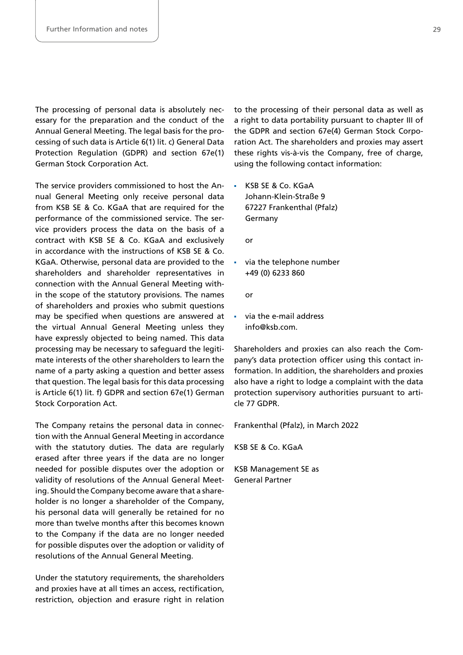The processing of personal data is absolutely necessary for the preparation and the conduct of the Annual General Meeting. The legal basis for the processing of such data is Article 6(1) lit. c) General Data Protection Regulation (GDPR) and section 67e(1) German Stock Corporation Act.

The service providers commissioned to host the Annual General Meeting only receive personal data from KSB SE & Co. KGaA that are required for the performance of the commissioned service. The service providers process the data on the basis of a contract with KSB SE & Co. KGaA and exclusively in accordance with the instructions of KSB SE & Co. KGaA. Otherwise, personal data are provided to the shareholders and shareholder representatives in connection with the Annual General Meeting within the scope of the statutory provisions. The names of shareholders and proxies who submit questions may be specified when questions are answered at the virtual Annual General Meeting unless they have expressly objected to being named. This data processing may be necessary to safeguard the legitimate interests of the other shareholders to learn the name of a party asking a question and better assess that question. The legal basis for this data processing is Article 6(1) lit. f) GDPR and section 67e(1) German Stock Corporation Act.

The Company retains the personal data in connection with the Annual General Meeting in accordance with the statutory duties. The data are regularly erased after three years if the data are no longer needed for possible disputes over the adoption or validity of resolutions of the Annual General Meeting. Should the Company become aware that a shareholder is no longer a shareholder of the Company, his personal data will generally be retained for no more than twelve months after this becomes known to the Company if the data are no longer needed for possible disputes over the adoption or validity of resolutions of the Annual General Meeting.

Under the statutory requirements, the shareholders and proxies have at all times an access, rectification, restriction, objection and erasure right in relation

to the processing of their personal data as well as a right to data portability pursuant to chapter III of the GDPR and section 67e(4) German Stock Corporation Act. The shareholders and proxies may assert these rights vis-à-vis the Company, free of charge, using the following contact information:

KSB SE & Co. KGaA Johann-Klein-Straße 9 67227 Frankenthal (Pfalz) Germany

or

 via the telephone number +49 (0) 6233 860

or

via the e-mail address [info@ksb.com.](mailto:info@ksb.com)

Shareholders and proxies can also reach the Company's data protection officer using this contact information. In addition, the shareholders and proxies also have a right to lodge a complaint with the data protection supervisory authorities pursuant to article 77 GDPR.

Frankenthal (Pfalz), in March 2022

KSB SE & Co. KGaA

KSB Management SE as General Partner